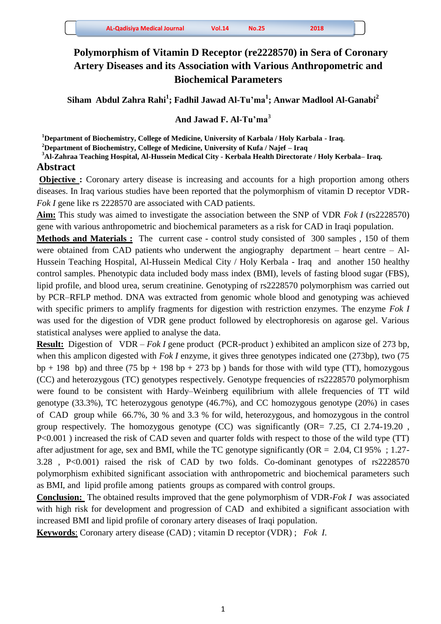# **Polymorphism of Vitamin D Receptor (re2228570) in Sera of Coronary Artery Diseases and its Association with Various Anthropometric and Biochemical Parameters**

**Siham Abdul Zahra Rahi<sup>1</sup> ; Fadhil Jawad Al-Tu'ma<sup>1</sup> ; Anwar Madlool Al-Ganabi<sup>2</sup>** 

### **And Jawad F. Al-Tu'ma**<sup>3</sup>

**<sup>1</sup>Department of Biochemistry, College of Medicine, University of Karbala / Holy Karbala - Iraq.** 

**<sup>2</sup>Department of Biochemistry, College of Medicine, University of Kufa / Najef – Iraq**

**<sup>3</sup>Al-Zahraa Teaching Hospital, Al-Hussein Medical City - Kerbala Health Directorate / Holy Kerbala– Iraq.** 

## **Abstract**

**Objective :** Coronary artery disease is increasing and accounts for a high proportion among others diseases. In Iraq various studies have been reported that the polymorphism of vitamin D receptor VDR-*Fok I* gene like rs 2228570 are associated with CAD patients.

**Aim:** This study was aimed to investigate the association between the SNP of VDR *Fok I* (rs2228570) gene with various anthropometric and biochemical parameters as a risk for CAD in Iraqi population.

**Methods and Materials :** The current case - control study consisted of 300 samples , 150 of them were obtained from CAD patients who underwent the angiography department – heart centre – Al-Hussein Teaching Hospital, Al-Hussein Medical City / Holy Kerbala - Iraq and another 150 healthy control samples. Phenotypic data included body mass index (BMI), levels of fasting blood sugar (FBS), lipid profile, and blood urea, serum creatinine. Genotyping of rs2228570 polymorphism was carried out by PCR–RFLP method. DNA was extracted from genomic whole blood and genotyping was achieved with specific primers to amplify fragments for digestion with restriction enzymes. The enzyme *Fok I*  was used for the digestion of VDR gene product followed by electrophoresis on agarose gel. Various statistical analyses were applied to analyse the data.

**Result:** Digestion of VDR – *Fok I* gene product (PCR-product ) exhibited an amplicon size of 273 bp, when this amplicon digested with *Fok I* enzyme, it gives three genotypes indicated one (273bp), two (75  $bp + 198$  bp) and three (75 bp + 198 bp + 273 bp) bands for those with wild type (TT), homozygous (CC) and heterozygous (TC) genotypes respectively. Genotype frequencies of rs2228570 polymorphism were found to be consistent with Hardy–Weinberg equilibrium with allele frequencies of TT wild genotype (33.3%), TC heterozygous genotype (46.7%), and CC homozygous genotype (20%) in cases of CAD group while 66.7%, 30 % and 3.3 % for wild, heterozygous, and homozygous in the control group respectively. The homozygous genotype (CC) was significantly (OR= 7.25, CI 2.74-19.20 , P<0.001 ) increased the risk of CAD seven and quarter folds with respect to those of the wild type (TT) after adjustment for age, sex and BMI, while the TC genotype significantly ( $OR = 2.04$ , CI 95%; 1.27-3.28 , P<0.001) raised the risk of CAD by two folds. Co-dominant genotypes of rs2228570 polymorphism exhibited significant association with anthropometric and biochemical parameters such as BMI, and lipid profile among patients groups as compared with control groups.

**Conclusion:** The obtained results improved that the gene polymorphism of VDR-*Fok I* was associated with high risk for development and progression of CAD and exhibited a significant association with increased BMI and lipid profile of coronary artery diseases of Iraqi population.

**Keywords**: Coronary artery disease (CAD) ; vitamin D receptor (VDR) ; *Fok I*.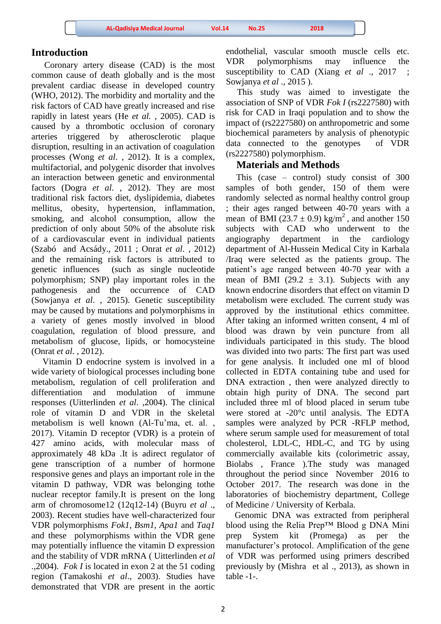### **Introduction**

 Coronary artery disease (CAD) is the most common cause of death globally and is the most prevalent cardiac disease in developed country (WHO, 2012). The morbidity and mortality and the risk factors of CAD have greatly increased and rise rapidly in latest years (He *et al.* , 2005). CAD is caused by a thrombotic occlusion of coronary arteries triggered by atherosclerotic plaque disruption, resulting in an activation of coagulation processes (Wong *et al*. , 2012). It is a complex, multifactorial, and polygenic disorder that involves an interaction between genetic and environmental factors (Dogra *et al*. , 2012). They are most traditional risk factors diet, dyslipidemia, diabetes mellitus, obesity, hypertension, inflammation, smoking, and alcohol consumption, allow the prediction of only about 50% of the absolute risk of a cardiovascular event in individual patients (Szabó and Acsády., 2011 ; Onrat *et al*. , 2012) and the remaining risk factors is attributed to genetic influences (such as single nucleotide polymorphism; SNP) play important roles in the pathogenesis and the occurrence of CAD (Sowjanya *et al*. , 2015). Genetic susceptibility may be caused by mutations and polymorphisms in a variety of genes mostly involved in blood coagulation, regulation of blood pressure, and metabolism of glucose, lipids, or homocysteine (Onrat *et al*. , 2012).

 Vitamin D endocrine system is involved in a wide variety of biological processes including bone metabolism, regulation of cell proliferation and differentiation and modulation of immune responses (Uitterlinden *et al*. ,2004). The clinical role of vitamin D and VDR in the skeletal metabolism is well known (Al-Tu'ma, et. al. , 2017). Vitamin D receptor (VDR) is a protein of 427 amino acids, with molecular mass of approximately 48 kDa .It is adirect regulator of gene transcription of a number of hormone responsive genes and plays an important role in the vitamin D pathway, VDR was belonging tothe nuclear receptor family.It is present on the long arm of chromosome12 (12q12-14) (Buyru *et al* ., 2003). Recent studies have well-characterized four VDR polymorphisms *Fok1*, *Bsm1*, *Apa1* and *Taq1* and these polymorphisms within the VDR gene may potentially influence the vitamin D expression and the stability of VDR mRNA ( Uitterlinden *et al* .,2004). *Fok I* is located in exon 2 at the 51 coding region (Tamakoshi *et al*., 2003). Studies have demonstrated that VDR are present in the aortic endothelial, vascular smooth muscle cells etc. VDR polymorphisms may influence the susceptibility to CAD (Xiang *et al* ., 2017) Sowjanya *et al* ., 2015 ).

 This study was aimed to investigate the association of SNP of VDR *Fok I* (rs2227580) with risk for CAD in Iraqi population and to show the impact of (rs2227580) on anthropometric and some biochemical parameters by analysis of phenotypic data connected to the genotypes of VDR (rs2227580) polymorphism.

## **Materials and Methods**

 This (case – control) study consist of 300 samples of both gender, 150 of them were randomly selected as normal healthy control group ; their ages ranged between 40-70 years with a mean of BMI ( $23.7 \pm 0.9$ ) kg/m<sup>2</sup>, and another 150 subjects with CAD who underwent to the angiography department in the cardiology department of Al-Hussein Medical City in Karbala /Iraq were selected as the patients group. The patient's age ranged between 40-70 year with a mean of BMI (29.2  $\pm$  3.1). Subjects with any known endocrine disorders that effect on vitamin D metabolism were excluded. The current study was approved by the institutional ethics committee. After taking an informed written consent, 4 ml of blood was drawn by vein puncture from all individuals participated in this study. The blood was divided into two parts: The first part was used for gene analysis. It included one ml of blood collected in EDTA containing tube and used for DNA extraction , then were analyzed directly to obtain high purity of DNA. The second part included three ml of blood placed in serum tube were stored at -20°c until analysis. The EDTA samples were analyzed by PCR -RFLP method, where serum sample used for measurement of total cholesterol, LDL-C, HDL-C, and TG by using commercially available kits (colorimetric assay, Biolabs , France ).The study was managed throughout the period since November 2016 to October 2017. The research was done in the laboratories of biochemistry department, College of Medicine / University of Kerbala.

 Genomic DNA was extracted from peripheral blood using the Relia Prep™ Blood g DNA Mini prep System kit (Promega) as per the manufacturer's protocol. Amplification of the gene of VDR was performed using primers described previously by (Mishra et al ., 2013), as shown in table -1-.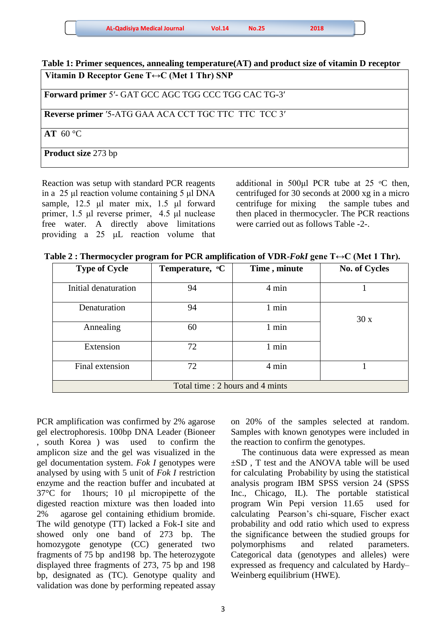| <b>AL-Qadisiya Medical Journal</b> | Vol.14 | <b>No.25</b> | 2018 |  |
|------------------------------------|--------|--------------|------|--|
|------------------------------------|--------|--------------|------|--|

**Table 1: Primer sequences, annealing temperature(AT) and product size of vitamin D receptor Vitamin D Receptor Gene T↔C (Met 1 Thr) SNP** 

 **Forward primer** 5′- GAT GCC AGC TGG CCC TGG CAC TG-3′

**Reverse primer '5-ATG GAA ACA CCT TGC TTC TTC TCC 3'** 

 **AT** 60 °C

 **Product size** 273 bp

Ξ Reaction was setup with standard PCR reagents in a 25 μl reaction volume containing 5 μl DNA sample, 12.5 μl mater mix, 1.5 μl forward primer, 1.5 μl reverse primer, 4.5 μl nuclease free water. A directly above limitations providing a 25 μL reaction volume that

additional in 500 $\mu$ l PCR tube at 25  $\degree$ C then, centrifuged for 30 seconds at 2000 xg in a micro centrifuge for mixing the sample tubes and then placed in thermocycler. The PCR reactions were carried out as follows Table -2-.

| Table 2 : Thermocycler program for PCR amplification of VDR-FokI gene $T \leftrightarrow C$ (Met 1 Thr). |  |  |
|----------------------------------------------------------------------------------------------------------|--|--|
|                                                                                                          |  |  |

| <b>Type of Cycle</b>             | Temperature, <sup>o</sup> C | Time, minute | <b>No. of Cycles</b> |  |  |  |  |
|----------------------------------|-----------------------------|--------------|----------------------|--|--|--|--|
| Initial denaturation             | 94                          | 4 min        |                      |  |  |  |  |
| Denaturation                     | 94                          | 1 min        | 30x                  |  |  |  |  |
| Annealing                        | 60                          | 1 min        |                      |  |  |  |  |
| Extension                        | 72                          | 1 min        |                      |  |  |  |  |
| Final extension                  | 72                          | 4 min        |                      |  |  |  |  |
| Total time : 2 hours and 4 mints |                             |              |                      |  |  |  |  |

PCR amplification was confirmed by 2% agarose gel electrophoresis. 100bp DNA Leader (Bioneer , south Korea ) was used to confirm the amplicon size and the gel was visualized in the gel documentation system. *Fok I* genotypes were analysed by using with 5 unit of *Fok I* restriction enzyme and the reaction buffer and incubated at 37°C for 1hours; 10 μl micropipette of the digested reaction mixture was then loaded into 2% agarose gel containing ethidium bromide. The wild genotype (TT) lacked a Fok-I site and showed only one band of 273 bp. The homozygote genotype (CC) generated two fragments of 75 bp and198 bp. The heterozygote displayed three fragments of 273, 75 bp and 198 bp, designated as (TC). Genotype quality and validation was done by performing repeated assay

on 20% of the samples selected at random. Samples with known genotypes were included in the reaction to confirm the genotypes.

 The continuous data were expressed as mean ±SD , T test and the ANOVA table will be used for calculating Probability by using the statistical analysis program IBM SPSS version 24 (SPSS Inc., Chicago, IL). The portable statistical program Win Pepi version 11.65 used for calculating Pearson's chi-square, Fischer exact probability and odd ratio which used to express the significance between the studied groups for polymorphisms and related parameters. Categorical data (genotypes and alleles) were expressed as frequency and calculated by Hardy– Weinberg equilibrium (HWE).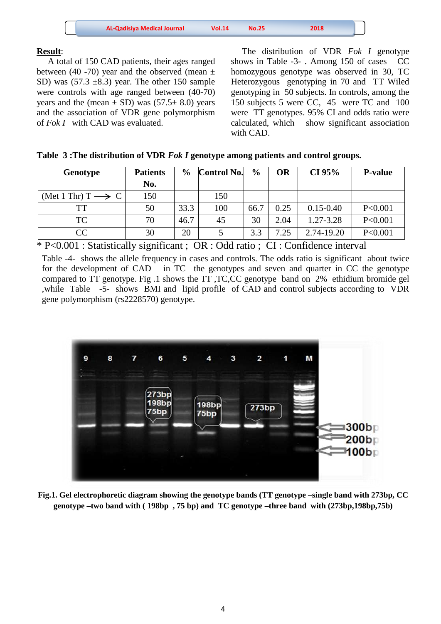| <b>AL-Qadisiya Medical Journal</b><br>2018<br>Vol.14<br>No.25 |
|---------------------------------------------------------------|
|---------------------------------------------------------------|

### **Result**:

 A total of 150 CAD patients, their ages ranged between (40 -70) year and the observed (mean  $\pm$ SD) was  $(57.3 \pm 8.3)$  year. The other 150 sample were controls with age ranged between (40-70) years and the (mean  $\pm$  SD) was (57.5 $\pm$  8.0) years and the association of VDR gene polymorphism of *Fok I* with CAD was evaluated.

 The distribution of VDR *Fok I* genotype shows in Table -3- . Among 150 of cases CC homozygous genotype was observed in 30, TC Heterozygous genotyping in 70 and TT Wiled genotyping in 50 subjects. In controls, among the 150 subjects 5 were CC, 45 were TC and 100 were TT genotypes. 95% CI and odds ratio were calculated, which show significant association with CAD.

|  | Table 3: The distribution of VDR Fok I genotype among patients and control groups. |  |  |  |
|--|------------------------------------------------------------------------------------|--|--|--|
|--|------------------------------------------------------------------------------------|--|--|--|

| Genotype                          | <b>Patients</b> | $\frac{0}{0}$ | <b>Control No.</b> | $\frac{0}{0}$ | <b>OR</b> | CI 95%        | <b>P-value</b> |
|-----------------------------------|-----------------|---------------|--------------------|---------------|-----------|---------------|----------------|
|                                   | No.             |               |                    |               |           |               |                |
| (Met 1 Thr) $T \longrightarrow C$ | 150             |               | 150                |               |           |               |                |
| TТ                                | 50              | 33.3          | 100                | 66.7          | 0.25      | $0.15 - 0.40$ | P<0.001        |
| <b>TC</b>                         | 70              | 46.7          | 45                 | 30            | 2.04      | 1.27-3.28     | P<0.001        |
| CC                                | 30              | 20            |                    | 3.3           | 7.25      | 2.74-19.20    | P<0.001        |

\* P<0.001 : Statistically significant ; OR : Odd ratio ; CI : Confidence interval

Table -4- shows the allele frequency in cases and controls. The odds ratio is significant about twice for the development of CAD in TC the genotypes and seven and quarter in CC the genotype compared to TT genotype. Fig .1 shows the TT ,TC,CC genotype band on 2% ethidium bromide gel ,while Table -5- shows BMI and lipid profile of CAD and control subjects according to VDR gene polymorphism (rs2228570) genotype.



**Fig.1. Gel electrophoretic diagram showing the genotype bands (TT genotype –single band with 273bp, CC genotype –two band with ( 198bp , 75 bp) and TC genotype –three band with (273bp,198bp,75b)**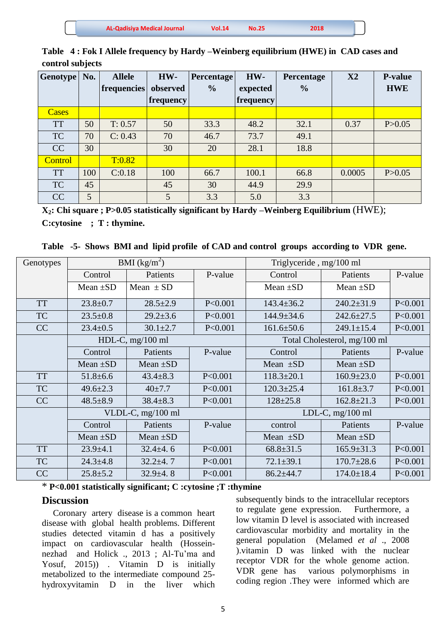| <b>AL-Qadisiya Medical Journal</b> | <b>Vol.14</b> | <b>No.25</b> | 2018 |  |
|------------------------------------|---------------|--------------|------|--|
|                                    |               |              |      |  |

| <b>Genotype</b> | No. | <b>Allele</b> | HW-       | <b>Percentage</b> | HW-       | <b>Percentage</b> | X2     | <b>P-value</b> |
|-----------------|-----|---------------|-----------|-------------------|-----------|-------------------|--------|----------------|
|                 |     | frequencies   | observed  | $\frac{0}{0}$     | expected  | $\frac{0}{0}$     |        | <b>HWE</b>     |
|                 |     |               | frequency |                   | frequency |                   |        |                |
| Cases           |     |               |           |                   |           |                   |        |                |
| <b>TT</b>       | 50  | T: 0.57       | 50        | 33.3              | 48.2      | 32.1              | 0.37   | P > 0.05       |
| <b>TC</b>       | 70  | C: 0.43       | 70        | 46.7              | 73.7      | 49.1              |        |                |
| CC              | 30  |               | 30        | 20                | 28.1      | 18.8              |        |                |
| Control         |     | T:0.82        |           |                   |           |                   |        |                |
| <b>TT</b>       | 100 | C:0.18        | 100       | 66.7              | 100.1     | 66.8              | 0.0005 | P > 0.05       |
| <b>TC</b>       | 45  |               | 45        | 30                | 44.9      | 29.9              |        |                |
| CC              | 5   |               | 5         | 3.3               | 5.0       | 3.3               |        |                |

**Table 4 : Fok I Allele frequency by Hardy –Weinberg equilibrium (HWE) in CAD cases and control subjects**

**X2: Chi square ; P>0.05 statistically significant by Hardy –Weinberg Equilibrium** (HWE); **C:cytosine ; T : thymine.**

**Table -5- Shows BMI and lipid profile of CAD and control groups according to VDR gene.**

| Genotypes | BMI $(kg/m^2)$ |                    |         | Triglyceride, mg/100 ml |                              |           |
|-----------|----------------|--------------------|---------|-------------------------|------------------------------|-----------|
|           | Control        | Patients           | P-value | Control                 | Patients                     | P-value   |
|           | Mean $\pm SD$  | Mean $\pm$ SD      |         | Mean $\pm SD$           | Mean $\pm SD$                |           |
| <b>TT</b> | $23.8 \pm 0.7$ | $28.5 \pm 2.9$     | P<0.001 | $143.4 \pm 36.2$        | $240.2 \pm 31.9$             | P<0.001   |
| TC        | $23.5 \pm 0.8$ | $29.2 \pm 3.6$     | P<0.001 | $144.9 \pm 34.6$        | $242.6 \pm 27.5$             | P<0.001   |
| CC        | $23.4 \pm 0.5$ | $30.1 \pm 2.7$     | P<0.001 | $161.6 \pm 50.6$        | $249.1 \pm 15.4$             | P<0.001   |
|           |                | HDL-C, $mg/100$ ml |         |                         | Total Cholesterol, mg/100 ml |           |
|           | Control        | Patients           | P-value | Control                 | Patients                     | P-value   |
|           | Mean $\pm SD$  | Mean $\pm SD$      |         | Mean $\pm SD$           | Mean $\pm SD$                |           |
| <b>TT</b> | $51.8 \pm 6.6$ | $43.4 \pm 8.3$     | P<0.001 | $118.3 \pm 20.1$        | $160.9 \pm 23.0$             | P<0.001   |
| <b>TC</b> | $49.6 \pm 2.3$ | $40 \pm 7.7$       | P<0.001 | $120.3 \pm 25.4$        | $161.8 \pm 3.7$              | P<0.001   |
| CC        | $48.5 \pm 8.9$ | $38.4 \pm 8.3$     | P<0.001 | $128 \pm 25.8$          | $162.8 \pm 21.3$             | P<0.001   |
|           |                | VLDL-C, mg/100 ml  |         |                         | LDL-C, $mg/100$ ml           |           |
|           | Control        | Patients           | P-value | control                 | Patients                     | P-value   |
|           | Mean $\pm SD$  | Mean $\pm SD$      |         | Mean $\pm SD$           | Mean $\pm SD$                |           |
| <b>TT</b> | $23.9 \pm 4.1$ | $32.4 \pm 4.6$     | P<0.001 | $68.8 \pm 31.5$         | $165.9 \pm 31.3$             | P < 0.001 |
| TC        | $24.3 \pm 4.8$ | $32.2 + 4.7$       | P<0.001 | $72.1 \pm 39.1$         | $170.7 \pm 28.6$             | P<0.001   |
| CC        | $25.8 \pm 5.2$ | $32.9 \pm 4.8$     | P<0.001 | $86.2 \pm 44.7$         | $174.0 \pm 18.4$             | P<0.001   |

\* **P<0.001 statistically significant; C :cytosine ;T :thymine**

## **Discussion**

 Coronary artery disease is a common heart disease with global health problems. Different studies detected vitamin d has a positively impact on cardiovascular health (Hosseinnezhad and Holick ., 2013 ; Al-Tu'ma and Yosuf, 2015)) . Vitamin D is initially metabolized to the intermediate compound 25 hydroxyvitamin D in the liver which subsequently binds to the intracellular receptors to regulate gene expression. Furthermore, a low vitamin D level is associated with increased cardiovascular morbidity and mortality in the general population (Melamed *et al* ., 2008 ).vitamin D was linked with the nuclear receptor VDR for the whole genome action. VDR gene has various polymorphisms in coding region .They were informed which are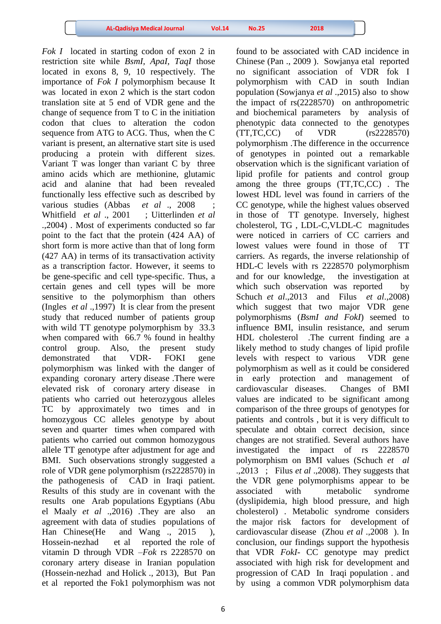*Fok I* located in starting codon of exon 2 in restriction site while *BsmI, ApaI, TaqI* those located in exons 8, 9, 10 respectively. The importance of *Fok I* polymorphism because It was located in exon 2 which is the start codon translation site at 5 end of VDR gene and the change of sequence from T to C in the initiation codon that clues to alteration the codon sequence from ATG to ACG. Thus, when the C variant is present, an alternative start site is used producing a protein with different sizes. Variant T was longer than variant C by three amino acids which are methionine, glutamic acid and alanine that had been revealed functionally less effective such as described by various studies (Abbas *et al.*, 2008 Whitfield *et al* ., 2001 ; Uitterlinden *et al* .,2004) . Most of experiments conducted so far point to the fact that the protein (424 AA) of short form is more active than that of long form (427 AA) in terms of its transactivation activity as a transcription factor. However, it seems to be gene-specific and cell type-specific. Thus, a certain genes and cell types will be more sensitive to the polymorphism than others (Ingles *et al* .,1997) It is clear from the present study that reduced number of patients group with wild TT genotype polymorphism by 33.3 when compared with 66.7 % found in healthy control group. Also, the present study demonstrated that VDR- FOKI gene polymorphism was linked with the danger of expanding coronary artery disease .There were elevated risk of coronary artery disease in patients who carried out heterozygous alleles TC by approximately two times and in homozygous CC alleles genotype by about seven and quarter times when compared with patients who carried out common homozygous allele TT genotype after adjustment for age and BMI. Such observations strongly suggested a role of VDR gene polymorphism (rs2228570) in the pathogenesis of CAD in Iraqi patient. Results of this study are in covenant with the results one Arab populations Egyptians (Abu el Maaly *et al* .,2016) .They are also an agreement with data of studies populations of Han Chinese (He and Wang ., 2015 ), Hossein-nezhad et al reported the role of vitamin D through VDR –*Fok* rs 2228570 on coronary artery disease in Iranian population (Hossein-nezhad and Holick ., 2013), But Pan et al reported the Fok1 polymorphism was not

found to be associated with CAD incidence in Chinese (Pan ., 2009 ). Sowjanya etal reported no significant association of VDR fok I polymorphism with CAD in south Indian population (Sowjanya *et al* .,2015) also to show the impact of rs(2228570) on anthropometric and biochemical parameters by analysis of phenotypic data connected to the genotypes (TT,TC,CC) of VDR (rs2228570) polymorphism .The difference in the occurrence of genotypes in pointed out a remarkable observation which is the significant variation of lipid profile for patients and control group among the three groups (TT,TC,CC) . The lowest HDL level was found in carriers of the CC genotype, while the highest values observed in those of TT genotype. Inversely, highest cholesterol, TG , LDL-C,VLDL-C magnitudes were noticed in carriers of CC carriers and lowest values were found in those of TT carriers. As regards, the inverse relationship of HDL-C levels with rs 2228570 polymorphism and for our knowledge, the investigation at which such observation was reported by Schuch *et al*.,2013 and Filus *et al*.,2008) which suggest that two major VDR gene polymorphisms (*BsmI and FokI*) seemed to influence BMI, insulin resistance, and serum HDL cholesterol .The current finding are a likely method to study changes of lipid profile levels with respect to various VDR gene polymorphism as well as it could be considered in early protection and management of cardiovascular diseases. Changes of BMI values are indicated to be significant among comparison of the three groups of genotypes for patients and controls , but it is very difficult to speculate and obtain correct decision, since changes are not stratified. Several authors have investigated the impact of rs 2228570 polymorphism on BMI values (Schuch *et al* .,2013 ; Filus *et al* .,2008). They suggests that the VDR gene polymorphisms appear to be associated with metabolic syndrome (dyslipidemia, high blood pressure, and high cholesterol) . Metabolic syndrome considers the major risk factors for development of cardiovascular disease (Zhou *et al* .,2008 ). In conclusion, our findings support the hypothesis that VDR *FokI*- CC genotype may predict associated with high risk for development and progression of CAD In Iraqi population . and by using a common VDR polymorphism data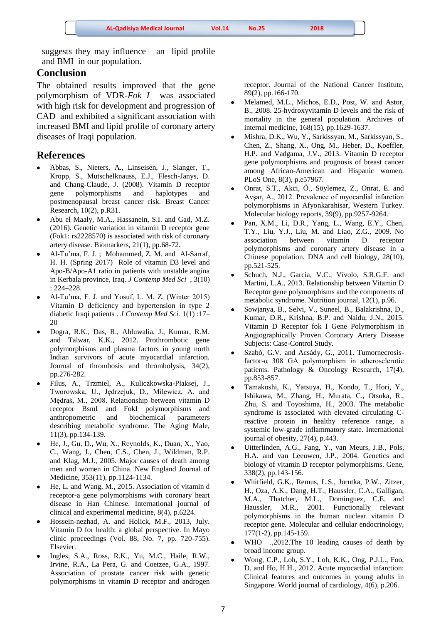suggests they may influence an lipid profile and BMI in our population.

## **Conclusion**

The obtained results improved that the gene polymorphism of VDR-*Fok I* was associated with high risk for development and progression of CAD and exhibited a significant association with increased BMI and lipid profile of coronary artery diseases of Iraqi population.

### **References**

- Abbas, S., Nieters, A., Linseisen, J., Slanger, T., Kropp, S., Mutschelknauss, E.J., Flesch-Janys, D. and Chang-Claude, J. (2008). Vitamin D receptor gene polymorphisms and haplotypes and postmenopausal breast cancer risk. Breast Cancer Research, 10(2), p.R31.
- Abu el Maaly, M.A., Hassanein, S.I. and Gad, M.Z. (2016). Genetic variation in vitamin D receptor gene (Fok1: rs2228570) is associated with risk of coronary artery disease. Biomarkers, 21(1), pp.68-72.
- Al-Tu'ma, F. J. ; Mohammed, Z. M. and Al-Sarraf, H. H. (Spring 2017) Role of vitamin D3 level and Apo-B/Apo-A1 ratio in patients with unstable angina in Kerbala province, Iraq. *J Contemp Med Sci* , 3(10) : 224–228.
- Al-Tu'ma, F. J. and Yosuf, L. M. Z. (Winter 2015) Vitamin D deficiency and hypertension in type 2 diabetic Iraqi patients . *J Contemp Med Sci.* 1(1) :17– 20
- Dogra, R.K., Das, R., Ahluwalia, J., Kumar, R.M. and Talwar, K.K., 2012. Prothrombotic gene polymorphisms and plasma factors in young north Indian survivors of acute myocardial infarction. Journal of thrombosis and thrombolysis, 34(2), pp.276-282.
- Filus, A., Trzmiel, A., Kuliczkowska-Płaksej, J., Tworowska, U., Jędrzejuk, D., Milewicz, A. and Mędraś, M., 2008. Relationship between vitamin D receptor BsmI and FokI polymorphisms and anthropometric and biochemical parameters describing metabolic syndrome. The Aging Male, 11(3), pp.134-139.
- He, J., Gu, D., Wu, X., Reynolds, K., Duan, X., Yao, C., Wang, J., Chen, C.S., Chen, J., Wildman, R.P. and Klag, M.J., 2005. Major causes of death among men and women in China. New England Journal of Medicine, 353(11), pp.1124-1134.
- He, L. and Wang, M., 2015. Association of vitamin d receptor-a gene polymorphisms with coronary heart disease in Han Chinese. International journal of clinical and experimental medicine, 8(4), p.6224.
- Hossein-nezhad, A. and Holick, M.F., 2013, July. Vitamin D for health: a global perspective. In Mayo clinic proceedings (Vol. 88, No. 7, pp. 720-755). Elsevier.
- Ingles, S.A., Ross, R.K., Yu, M.C., Haile, R.W., Irvine, R.A., La Pera, G. and Coetzee, G.A., 1997. Association of prostate cancer risk with genetic polymorphisms in vitamin D receptor and androgen

receptor. Journal of the National Cancer Institute, 89(2), pp.166-170.

- Melamed, M.L., Michos, E.D., Post, W. and Astor, B., 2008. 25-hydroxyvitamin D levels and the risk of mortality in the general population. Archives of internal medicine, 168(15), pp.1629-1637.
- Mishra, D.K., Wu, Y., Sarkissyan, M., Sarkissyan, S., Chen, Z., Shang, X., Ong, M., Heber, D., Koeffler, H.P. and Vadgama, J.V., 2013. Vitamin D receptor gene polymorphisms and prognosis of breast cancer among African-American and Hispanic women. PLoS One, 8(3), p.e57967.
- Onrat, S.T., Akci, Ö., Söylemez, Z., Onrat, E. and Avşar, A., 2012. Prevalence of myocardial infarction polymorphisms in Afyonkarahisar, Western Turkey. Molecular biology reports, 39(9), pp.9257-9264.
- Pan, X.M., Li, D.R., Yang, L., Wang, E.Y., Chen, T.Y., Liu, Y.J., Liu, M. and Liao, Z.G., 2009. No association between vitamin D receptor polymorphisms and coronary artery disease in a Chinese population. DNA and cell biology, 28(10), pp.521-525.
- Schuch, N.J., Garcia, V.C., Vívolo, S.R.G.F. and Martini, L.A., 2013. Relationship between Vitamin D Receptor gene polymorphisms and the components of metabolic syndrome. Nutrition journal, 12(1), p.96.
- Sowjanya, B., Selvi, V., Suneel, B., Balakrishna, D., Kumar, D.R., Krishna, B.P. and Naidu, J.N., 2015. Vitamin D Receptor fok I Gene Polymorphism in Angiographically Proven Coronary Artery Disease Subjects: Case-Control Study.
- Szabó, G.V. and Acsády, G., 2011. Tumornecrosisfactor-α 308 GA polymorphism in atherosclerotic patients. Pathology & Oncology Research, 17(4), pp.853-857.
- Tamakoshi, K., Yatsuya, H., Kondo, T., Hori, Y., Ishikawa, M., Zhang, H., Murata, C., Otsuka, R., Zhu, S. and Toyoshima, H., 2003. The metabolic syndrome is associated with elevated circulating Creactive protein in healthy reference range, a systemic low-grade inflammatory state. International journal of obesity, 27(4), p.443.
- Uitterlinden, A.G., Fang, Y., van Meurs, J.B., Pols, H.A. and van Leeuwen, J.P., 2004. Genetics and biology of vitamin D receptor polymorphisms. Gene, 338(2), pp.143-156.
- Whitfield, G.K., Remus, L.S., Jurutka, P.W., Zitzer, H., Oza, A.K., Dang, H.T., Haussler, C.A., Galligan, M.A., Thatcher, M.L., Dominguez, C.E. and Haussler, M.R., 2001. Functionally relevant polymorphisms in the human nuclear vitamin D receptor gene. Molecular and cellular endocrinology, 177(1-2), pp.145-159.
- WHO .,2012.The 10 leading causes of death by broad income group.
- Wong, C.P., Loh, S.Y., Loh, K.K., Ong, P.J.L., Foo, D. and Ho, H.H., 2012. Acute myocardial infarction: Clinical features and outcomes in young adults in Singapore. World journal of cardiology, 4(6), p.206.